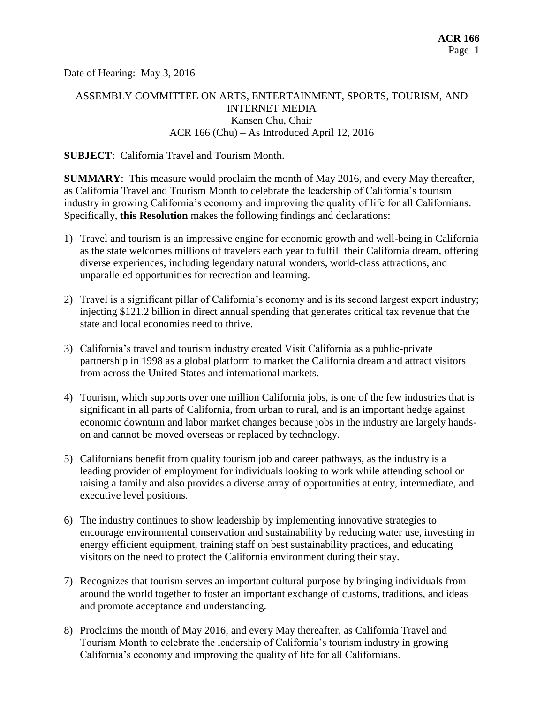Date of Hearing: May 3, 2016

# ASSEMBLY COMMITTEE ON ARTS, ENTERTAINMENT, SPORTS, TOURISM, AND INTERNET MEDIA Kansen Chu, Chair ACR 166 (Chu) – As Introduced April 12, 2016

#### **SUBJECT**: California Travel and Tourism Month.

**SUMMARY**: This measure would proclaim the month of May 2016, and every May thereafter, as California Travel and Tourism Month to celebrate the leadership of California's tourism industry in growing California's economy and improving the quality of life for all Californians. Specifically, **this Resolution** makes the following findings and declarations:

- 1) Travel and tourism is an impressive engine for economic growth and well-being in California as the state welcomes millions of travelers each year to fulfill their California dream, offering diverse experiences, including legendary natural wonders, world-class attractions, and unparalleled opportunities for recreation and learning.
- 2) Travel is a significant pillar of California's economy and is its second largest export industry; injecting \$121.2 billion in direct annual spending that generates critical tax revenue that the state and local economies need to thrive.
- 3) California's travel and tourism industry created Visit California as a public-private partnership in 1998 as a global platform to market the California dream and attract visitors from across the United States and international markets.
- 4) Tourism, which supports over one million California jobs, is one of the few industries that is significant in all parts of California, from urban to rural, and is an important hedge against economic downturn and labor market changes because jobs in the industry are largely handson and cannot be moved overseas or replaced by technology.
- 5) Californians benefit from quality tourism job and career pathways, as the industry is a leading provider of employment for individuals looking to work while attending school or raising a family and also provides a diverse array of opportunities at entry, intermediate, and executive level positions.
- 6) The industry continues to show leadership by implementing innovative strategies to encourage environmental conservation and sustainability by reducing water use, investing in energy efficient equipment, training staff on best sustainability practices, and educating visitors on the need to protect the California environment during their stay.
- 7) Recognizes that tourism serves an important cultural purpose by bringing individuals from around the world together to foster an important exchange of customs, traditions, and ideas and promote acceptance and understanding.
- 8) Proclaims the month of May 2016, and every May thereafter, as California Travel and Tourism Month to celebrate the leadership of California's tourism industry in growing California's economy and improving the quality of life for all Californians.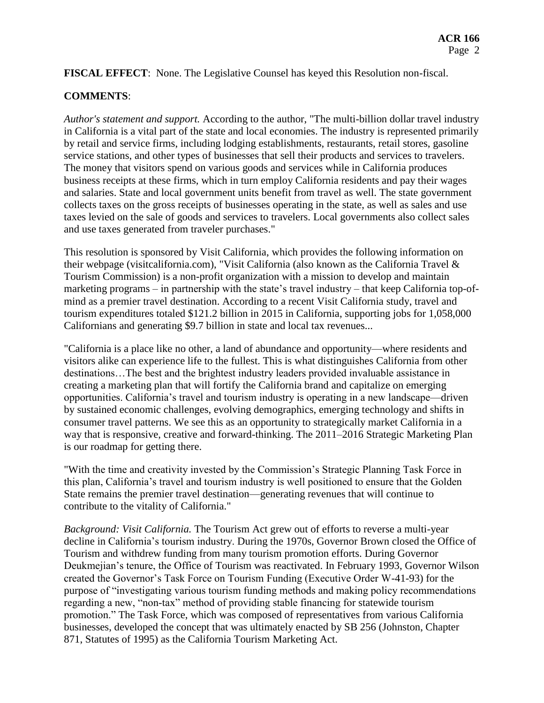**FISCAL EFFECT**: None. The Legislative Counsel has keyed this Resolution non-fiscal.

### **COMMENTS**:

*Author's statement and support.* According to the author, "The multi-billion dollar travel industry in California is a vital part of the state and local economies. The industry is represented primarily by retail and service firms, including lodging establishments, restaurants, retail stores, gasoline service stations, and other types of businesses that sell their products and services to travelers. The money that visitors spend on various goods and services while in California produces business receipts at these firms, which in turn employ California residents and pay their wages and salaries. State and local government units benefit from travel as well. The state government collects taxes on the gross receipts of businesses operating in the state, as well as sales and use taxes levied on the sale of goods and services to travelers. Local governments also collect sales and use taxes generated from traveler purchases."

This resolution is sponsored by Visit California, which provides the following information on their webpage (visitcalifornia.com), "Visit California (also known as the California Travel & Tourism Commission) is a non-profit organization with a mission to develop and maintain marketing programs – in partnership with the state's travel industry – that keep California top-ofmind as a premier travel destination. According to a recent Visit California study, travel and tourism expenditures totaled \$121.2 billion in 2015 in California, supporting jobs for 1,058,000 Californians and generating \$9.7 billion in state and local tax revenues...

"California is a place like no other, a land of abundance and opportunity—where residents and visitors alike can experience life to the fullest. This is what distinguishes California from other destinations…The best and the brightest industry leaders provided invaluable assistance in creating a marketing plan that will fortify the California brand and capitalize on emerging opportunities. California's travel and tourism industry is operating in a new landscape—driven by sustained economic challenges, evolving demographics, emerging technology and shifts in consumer travel patterns. We see this as an opportunity to strategically market California in a way that is responsive, creative and forward-thinking. The 2011–2016 Strategic Marketing Plan is our roadmap for getting there.

"With the time and creativity invested by the Commission's Strategic Planning Task Force in this plan, California's travel and tourism industry is well positioned to ensure that the Golden State remains the premier travel destination—generating revenues that will continue to contribute to the vitality of California."

*Background: Visit California.* The Tourism Act grew out of efforts to reverse a multi-year decline in California's tourism industry. During the 1970s, Governor Brown closed the Office of Tourism and withdrew funding from many tourism promotion efforts. During Governor Deukmejian's tenure, the Office of Tourism was reactivated. In February 1993, Governor Wilson created the Governor's Task Force on Tourism Funding (Executive Order W-41-93) for the purpose of "investigating various tourism funding methods and making policy recommendations regarding a new, "non-tax" method of providing stable financing for statewide tourism promotion." The Task Force, which was composed of representatives from various California businesses, developed the concept that was ultimately enacted by SB 256 (Johnston, Chapter 871, Statutes of 1995) as the California Tourism Marketing Act.